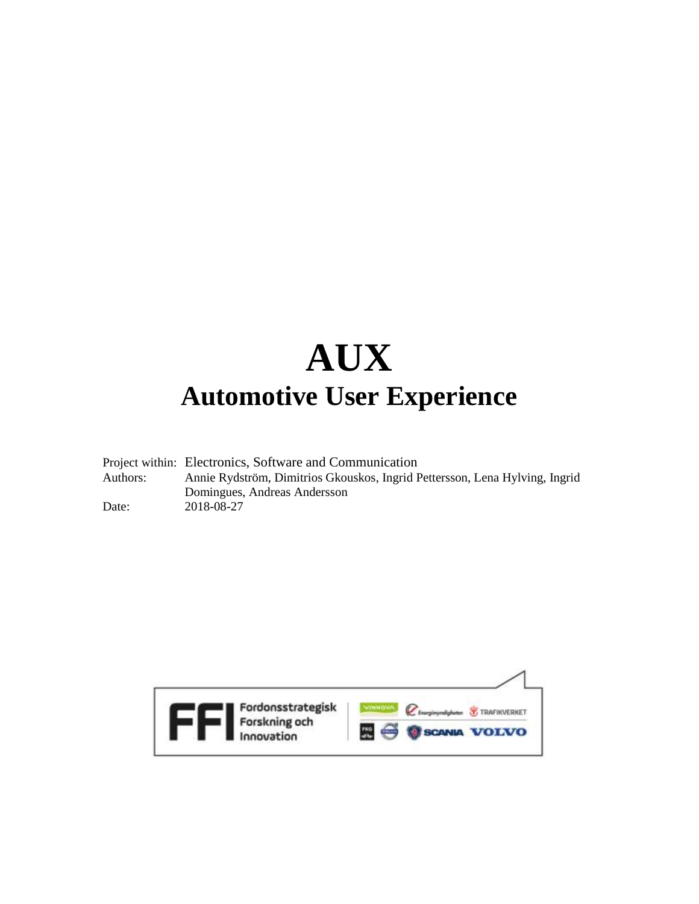# **AUX Automotive User Experience**

|          | Project within: Electronics, Software and Communication                     |
|----------|-----------------------------------------------------------------------------|
| Authors: | Annie Rydström, Dimitrios Gkouskos, Ingrid Pettersson, Lena Hylving, Ingrid |
|          | Domingues, Andreas Andersson                                                |
| Date:    | 2018-08-27                                                                  |

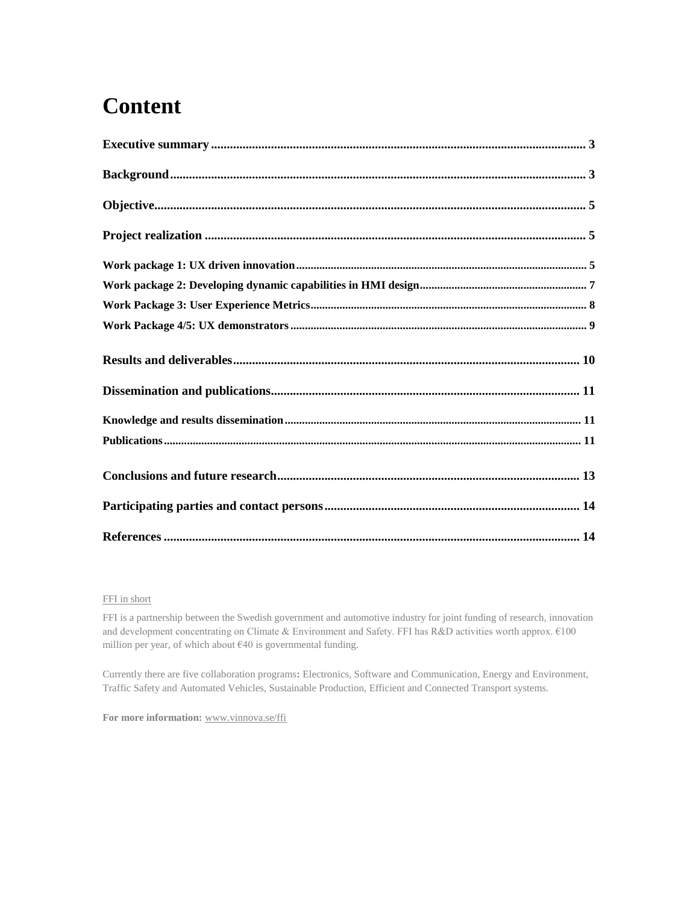# **Content**

#### FFI in short

FFI is a partnership between the Swedish government and automotive industry for joint funding of research, innovation and development concentrating on Climate & Environment and Safety. FFI has R&D activities worth approx. €100 million per year, of which about  $\epsilon$ 40 is governmental funding.

Currently there are five collaboration programs**:** Electronics, Software and Communication, Energy and Environment, Traffic Safety and Automated Vehicles, Sustainable Production, Efficient and Connected Transport systems.

**For more information:** [www.vinnova.se/ffi](http://www.vinnova.se/ffi)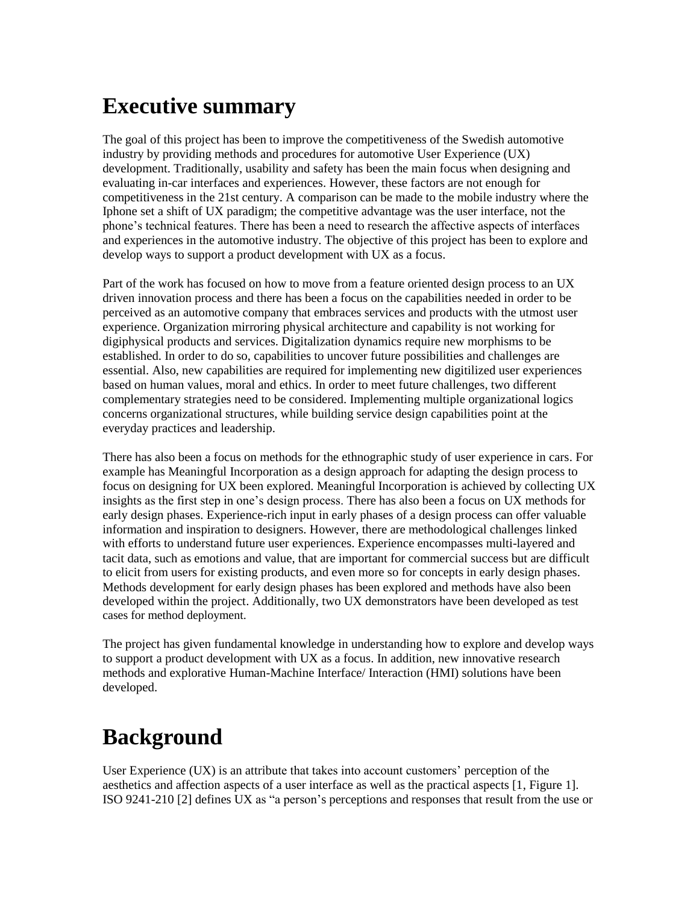### <span id="page-2-0"></span>**Executive summary**

The goal of this project has been to improve the competitiveness of the Swedish automotive industry by providing methods and procedures for automotive User Experience (UX) development. Traditionally, usability and safety has been the main focus when designing and evaluating in-car interfaces and experiences. However, these factors are not enough for competitiveness in the 21st century. A comparison can be made to the mobile industry where the Iphone set a shift of UX paradigm; the competitive advantage was the user interface, not the phone's technical features. There has been a need to research the affective aspects of interfaces and experiences in the automotive industry. The objective of this project has been to explore and develop ways to support a product development with UX as a focus.

Part of the work has focused on how to move from a feature oriented design process to an UX driven innovation process and there has been a focus on the capabilities needed in order to be perceived as an automotive company that embraces services and products with the utmost user experience. Organization mirroring physical architecture and capability is not working for digiphysical products and services. Digitalization dynamics require new morphisms to be established. In order to do so, capabilities to uncover future possibilities and challenges are essential. Also, new capabilities are required for implementing new digitilized user experiences based on human values, moral and ethics. In order to meet future challenges, two different complementary strategies need to be considered. Implementing multiple organizational logics concerns organizational structures, while building service design capabilities point at the everyday practices and leadership.

There has also been a focus on methods for the ethnographic study of user experience in cars. For example has Meaningful Incorporation as a design approach for adapting the design process to focus on designing for UX been explored. Meaningful Incorporation is achieved by collecting UX insights as the first step in one's design process. There has also been a focus on UX methods for early design phases. Experience-rich input in early phases of a design process can offer valuable information and inspiration to designers. However, there are methodological challenges linked with efforts to understand future user experiences. Experience encompasses multi-layered and tacit data, such as emotions and value, that are important for commercial success but are difficult to elicit from users for existing products, and even more so for concepts in early design phases. Methods development for early design phases has been explored and methods have also been developed within the project. Additionally, two UX demonstrators have been developed as test cases for method deployment.

The project has given fundamental knowledge in understanding how to explore and develop ways to support a product development with UX as a focus. In addition, new innovative research methods and explorative Human-Machine Interface/ Interaction (HMI) solutions have been developed.

# <span id="page-2-1"></span>**Background**

User Experience (UX) is an attribute that takes into account customers' perception of the aesthetics and affection aspects of a user interface as well as the practical aspects [1, Figure 1]. ISO 9241-210 [2] defines UX as "a person's perceptions and responses that result from the use or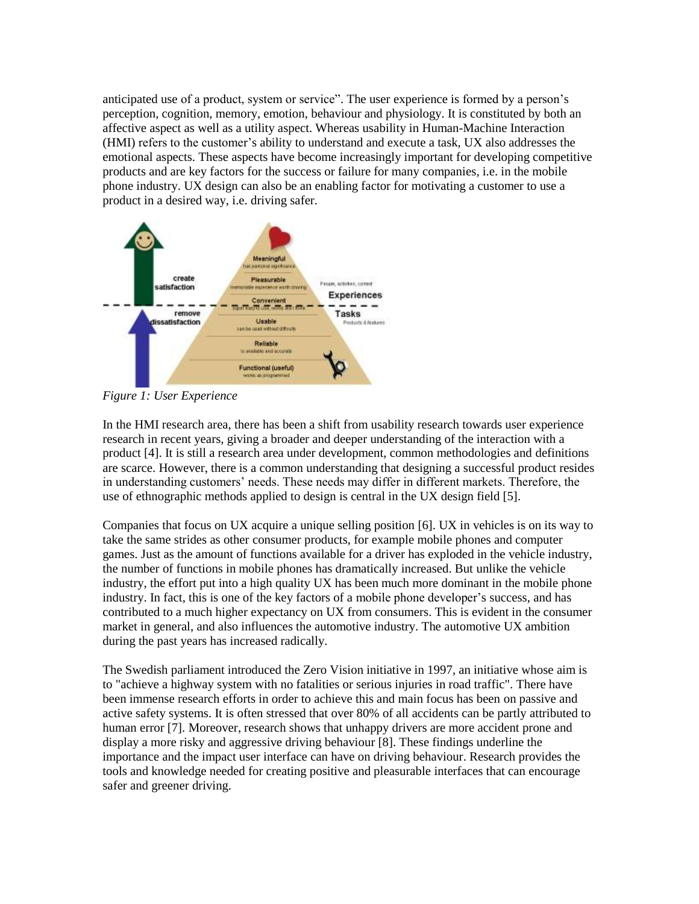anticipated use of a product, system or service". The user experience is formed by a person's perception, cognition, memory, emotion, behaviour and physiology. It is constituted by both an affective aspect as well as a utility aspect. Whereas usability in Human-Machine Interaction (HMI) refers to the customer's ability to understand and execute a task, UX also addresses the emotional aspects. These aspects have become increasingly important for developing competitive products and are key factors for the success or failure for many companies, i.e. in the mobile phone industry. UX design can also be an enabling factor for motivating a customer to use a product in a desired way, i.e. driving safer.



*Figure 1: User Experience*

In the HMI research area, there has been a shift from usability research towards user experience research in recent years, giving a broader and deeper understanding of the interaction with a product [4]. It is still a research area under development, common methodologies and definitions are scarce. However, there is a common understanding that designing a successful product resides in understanding customers' needs. These needs may differ in different markets. Therefore, the use of ethnographic methods applied to design is central in the UX design field [5].

Companies that focus on UX acquire a unique selling position [6]. UX in vehicles is on its way to take the same strides as other consumer products, for example mobile phones and computer games. Just as the amount of functions available for a driver has exploded in the vehicle industry, the number of functions in mobile phones has dramatically increased. But unlike the vehicle industry, the effort put into a high quality UX has been much more dominant in the mobile phone industry. In fact, this is one of the key factors of a mobile phone developer's success, and has contributed to a much higher expectancy on UX from consumers. This is evident in the consumer market in general, and also influences the automotive industry. The automotive UX ambition during the past years has increased radically.

The Swedish parliament introduced the Zero Vision initiative in 1997, an initiative whose aim is to "achieve a highway system with no fatalities or serious injuries in road traffic". There have been immense research efforts in order to achieve this and main focus has been on passive and active safety systems. It is often stressed that over 80% of all accidents can be partly attributed to human error [7]. Moreover, research shows that unhappy drivers are more accident prone and display a more risky and aggressive driving behaviour [8]. These findings underline the importance and the impact user interface can have on driving behaviour. Research provides the tools and knowledge needed for creating positive and pleasurable interfaces that can encourage safer and greener driving.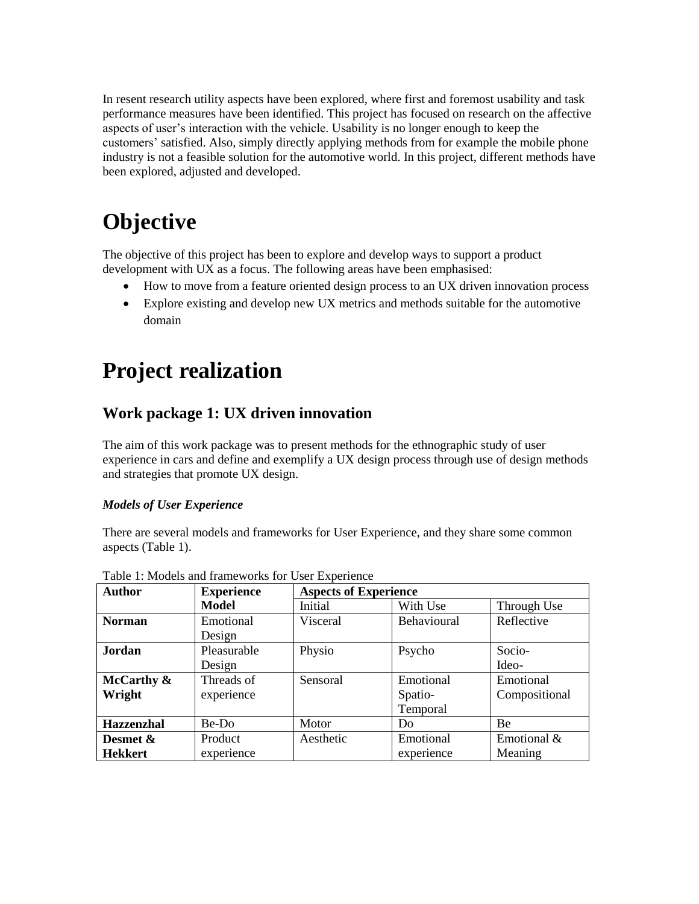In resent research utility aspects have been explored, where first and foremost usability and task performance measures have been identified. This project has focused on research on the affective aspects of user's interaction with the vehicle. Usability is no longer enough to keep the customers' satisfied. Also, simply directly applying methods from for example the mobile phone industry is not a feasible solution for the automotive world. In this project, different methods have been explored, adjusted and developed.

# <span id="page-4-0"></span>**Objective**

The objective of this project has been to explore and develop ways to support a product development with UX as a focus. The following areas have been emphasised:

- How to move from a feature oriented design process to an UX driven innovation process
- Explore existing and develop new UX metrics and methods suitable for the automotive domain

# <span id="page-4-1"></span>**Project realization**

### <span id="page-4-2"></span>**Work package 1: UX driven innovation**

The aim of this work package was to present methods for the ethnographic study of user experience in cars and define and exemplify a UX design process through use of design methods and strategies that promote UX design.

#### *Models of User Experience*

There are several models and frameworks for User Experience, and they share some common aspects (Table 1).

| <b>Author</b>     | <b>Experience</b> | <b>Aspects of Experience</b> |             |               |  |  |
|-------------------|-------------------|------------------------------|-------------|---------------|--|--|
|                   | <b>Model</b>      | Initial                      | With Use    | Through Use   |  |  |
| <b>Norman</b>     | Emotional         | Visceral                     | Behavioural | Reflective    |  |  |
|                   | Design            |                              |             |               |  |  |
| Jordan            | Pleasurable       | Physio                       | Psycho      | Socio-        |  |  |
|                   | Design            |                              |             | Ideo-         |  |  |
| McCarthy $\&$     | Threads of        | Sensoral                     | Emotional   | Emotional     |  |  |
| Wright            | experience        |                              | Spatio-     | Compositional |  |  |
|                   |                   |                              | Temporal    |               |  |  |
| <b>Hazzenzhal</b> | Be-Do             | Motor                        | Do          | Be            |  |  |
| Desmet &          | Product           | Aesthetic                    | Emotional   | Emotional &   |  |  |
| <b>Hekkert</b>    | experience        |                              | experience  | Meaning       |  |  |

Table 1: Models and frameworks for User Experience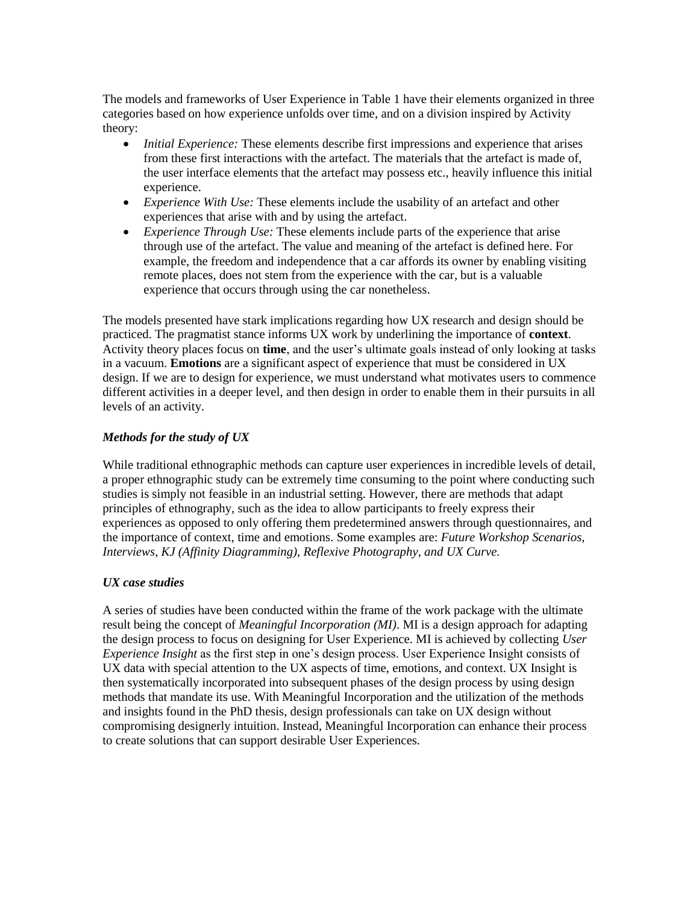The models and frameworks of User Experience in Table 1 have their elements organized in three categories based on how experience unfolds over time, and on a division inspired by Activity theory:

- *Initial Experience:* These elements describe first impressions and experience that arises from these first interactions with the artefact. The materials that the artefact is made of, the user interface elements that the artefact may possess etc., heavily influence this initial experience.
- *Experience With Use:* These elements include the usability of an artefact and other experiences that arise with and by using the artefact.
- *Experience Through Use:* These elements include parts of the experience that arise through use of the artefact. The value and meaning of the artefact is defined here. For example, the freedom and independence that a car affords its owner by enabling visiting remote places, does not stem from the experience with the car, but is a valuable experience that occurs through using the car nonetheless.

The models presented have stark implications regarding how UX research and design should be practiced. The pragmatist stance informs UX work by underlining the importance of **context**. Activity theory places focus on **time**, and the user's ultimate goals instead of only looking at tasks in a vacuum. **Emotions** are a significant aspect of experience that must be considered in UX design. If we are to design for experience, we must understand what motivates users to commence different activities in a deeper level, and then design in order to enable them in their pursuits in all levels of an activity.

#### *Methods for the study of UX*

While traditional ethnographic methods can capture user experiences in incredible levels of detail, a proper ethnographic study can be extremely time consuming to the point where conducting such studies is simply not feasible in an industrial setting. However, there are methods that adapt principles of ethnography, such as the idea to allow participants to freely express their experiences as opposed to only offering them predetermined answers through questionnaires, and the importance of context, time and emotions. Some examples are: *Future Workshop Scenarios, Interviews, KJ (Affinity Diagramming), Reflexive Photography, and UX Curve.*

#### *UX case studies*

A series of studies have been conducted within the frame of the work package with the ultimate result being the concept of *Meaningful Incorporation (MI)*. MI is a design approach for adapting the design process to focus on designing for User Experience. MI is achieved by collecting *User Experience Insight* as the first step in one's design process. User Experience Insight consists of UX data with special attention to the UX aspects of time, emotions, and context. UX Insight is then systematically incorporated into subsequent phases of the design process by using design methods that mandate its use. With Meaningful Incorporation and the utilization of the methods and insights found in the PhD thesis, design professionals can take on UX design without compromising designerly intuition. Instead, Meaningful Incorporation can enhance their process to create solutions that can support desirable User Experiences.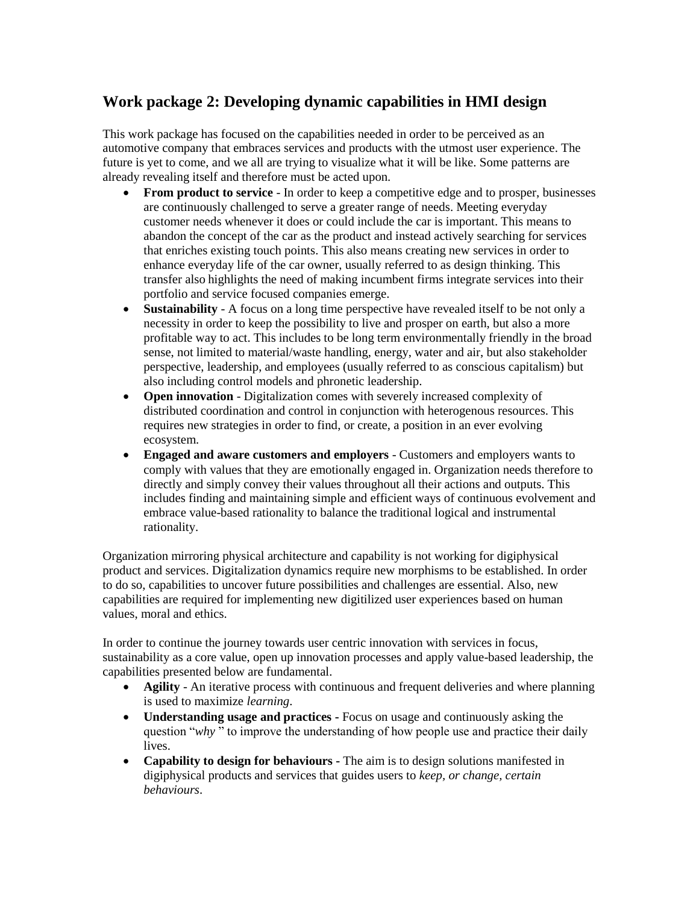### <span id="page-6-0"></span>**Work package 2: Developing dynamic capabilities in HMI design**

This work package has focused on the capabilities needed in order to be perceived as an automotive company that embraces services and products with the utmost user experience. The future is yet to come, and we all are trying to visualize what it will be like. Some patterns are already revealing itself and therefore must be acted upon.

- **From product to service**  In order to keep a competitive edge and to prosper, businesses are continuously challenged to serve a greater range of needs. Meeting everyday customer needs whenever it does or could include the car is important. This means to abandon the concept of the car as the product and instead actively searching for services that enriches existing touch points. This also means creating new services in order to enhance everyday life of the car owner, usually referred to as design thinking. This transfer also highlights the need of making incumbent firms integrate services into their portfolio and service focused companies emerge.
- **Sustainability**  A focus on a long time perspective have revealed itself to be not only a necessity in order to keep the possibility to live and prosper on earth, but also a more profitable way to act. This includes to be long term environmentally friendly in the broad sense, not limited to material/waste handling, energy, water and air, but also stakeholder perspective, leadership, and employees (usually referred to as conscious capitalism) but also including control models and phronetic leadership.
- **Open innovation**  Digitalization comes with severely increased complexity of distributed coordination and control in conjunction with heterogenous resources. This requires new strategies in order to find, or create, a position in an ever evolving ecosystem.
- **Engaged and aware customers and employers**  Customers and employers wants to comply with values that they are emotionally engaged in. Organization needs therefore to directly and simply convey their values throughout all their actions and outputs. This includes finding and maintaining simple and efficient ways of continuous evolvement and embrace value-based rationality to balance the traditional logical and instrumental rationality.

Organization mirroring physical architecture and capability is not working for digiphysical product and services. Digitalization dynamics require new morphisms to be established. In order to do so, capabilities to uncover future possibilities and challenges are essential. Also, new capabilities are required for implementing new digitilized user experiences based on human values, moral and ethics.

In order to continue the journey towards user centric innovation with services in focus, sustainability as a core value, open up innovation processes and apply value-based leadership, the capabilities presented below are fundamental.

- **Agility**  An iterative process with continuous and frequent deliveries and where planning is used to maximize *learning*.
- **Understanding usage and practices -** Focus on usage and continuously asking the question "*why* " to improve the understanding of how people use and practice their daily lives.
- **Capability to design for behaviours -** The aim is to design solutions manifested in digiphysical products and services that guides users to *keep, or change, certain behaviours*.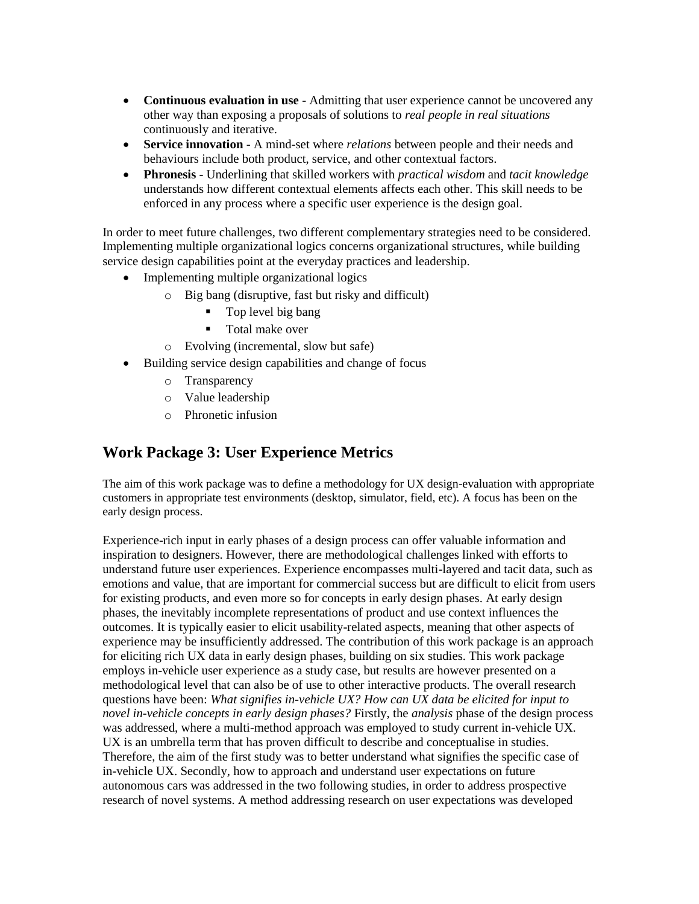- **Continuous evaluation in use**  Admitting that user experience cannot be uncovered any other way than exposing a proposals of solutions to *real people in real situations*  continuously and iterative.
- **Service innovation**  A mind-set where *relations* between people and their needs and behaviours include both product, service, and other contextual factors.
- **Phronesis**  Underlining that skilled workers with *practical wisdom* and *tacit knowledge*  understands how different contextual elements affects each other. This skill needs to be enforced in any process where a specific user experience is the design goal.

In order to meet future challenges, two different complementary strategies need to be considered. Implementing multiple organizational logics concerns organizational structures, while building service design capabilities point at the everyday practices and leadership.

- Implementing multiple organizational logics
	- o Big bang (disruptive, fast but risky and difficult)
		- Top level big bang
		- **Total make over**
	- o Evolving (incremental, slow but safe)
- Building service design capabilities and change of focus
	- o Transparency
	- o Value leadership
	- o Phronetic infusion

### <span id="page-7-0"></span>**Work Package 3: User Experience Metrics**

The aim of this work package was to define a methodology for UX design-evaluation with appropriate customers in appropriate test environments (desktop, simulator, field, etc). A focus has been on the early design process.

Experience-rich input in early phases of a design process can offer valuable information and inspiration to designers. However, there are methodological challenges linked with efforts to understand future user experiences. Experience encompasses multi-layered and tacit data, such as emotions and value, that are important for commercial success but are difficult to elicit from users for existing products, and even more so for concepts in early design phases. At early design phases, the inevitably incomplete representations of product and use context influences the outcomes. It is typically easier to elicit usability-related aspects, meaning that other aspects of experience may be insufficiently addressed. The contribution of this work package is an approach for eliciting rich UX data in early design phases, building on six studies. This work package employs in-vehicle user experience as a study case, but results are however presented on a methodological level that can also be of use to other interactive products. The overall research questions have been: *What signifies in-vehicle UX? How can UX data be elicited for input to novel in-vehicle concepts in early design phases?* Firstly, the *analysis* phase of the design process was addressed, where a multi-method approach was employed to study current in-vehicle UX. UX is an umbrella term that has proven difficult to describe and conceptualise in studies. Therefore, the aim of the first study was to better understand what signifies the specific case of in-vehicle UX. Secondly, how to approach and understand user expectations on future autonomous cars was addressed in the two following studies, in order to address prospective research of novel systems. A method addressing research on user expectations was developed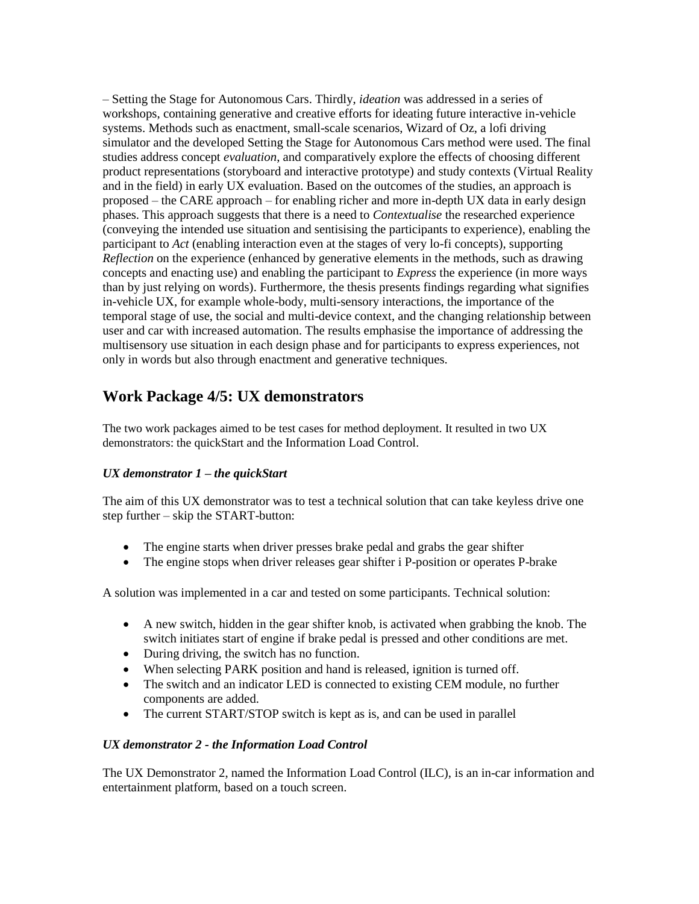– Setting the Stage for Autonomous Cars. Thirdly, *ideation* was addressed in a series of workshops, containing generative and creative efforts for ideating future interactive in-vehicle systems. Methods such as enactment, small-scale scenarios, Wizard of Oz, a lofi driving simulator and the developed Setting the Stage for Autonomous Cars method were used. The final studies address concept *evaluation*, and comparatively explore the effects of choosing different product representations (storyboard and interactive prototype) and study contexts (Virtual Reality and in the field) in early UX evaluation. Based on the outcomes of the studies, an approach is proposed – the CARE approach – for enabling richer and more in-depth UX data in early design phases. This approach suggests that there is a need to *Contextualise* the researched experience (conveying the intended use situation and sentisising the participants to experience), enabling the participant to *Act* (enabling interaction even at the stages of very lo-fi concepts), supporting *Reflection* on the experience (enhanced by generative elements in the methods, such as drawing concepts and enacting use) and enabling the participant to *Express* the experience (in more ways than by just relying on words). Furthermore, the thesis presents findings regarding what signifies in-vehicle UX, for example whole-body, multi-sensory interactions, the importance of the temporal stage of use, the social and multi-device context, and the changing relationship between user and car with increased automation. The results emphasise the importance of addressing the multisensory use situation in each design phase and for participants to express experiences, not only in words but also through enactment and generative techniques.

### <span id="page-8-0"></span>**Work Package 4/5: UX demonstrators**

The two work packages aimed to be test cases for method deployment. It resulted in two UX demonstrators: the quickStart and the Information Load Control.

#### *UX demonstrator 1 – the quickStart*

The aim of this UX demonstrator was to test a technical solution that can take keyless drive one step further – skip the START-button:

- The engine starts when driver presses brake pedal and grabs the gear shifter
- The engine stops when driver releases gear shifter i P-position or operates P-brake

A solution was implemented in a car and tested on some participants. Technical solution:

- A new switch, hidden in the gear shifter knob, is activated when grabbing the knob. The switch initiates start of engine if brake pedal is pressed and other conditions are met.
- During driving, the switch has no function.
- When selecting PARK position and hand is released, ignition is turned off.
- The switch and an indicator LED is connected to existing CEM module, no further components are added.
- The current START/STOP switch is kept as is, and can be used in parallel

#### *UX demonstrator 2 - the Information Load Control*

The UX Demonstrator 2, named the Information Load Control (ILC), is an in-car information and entertainment platform, based on a touch screen.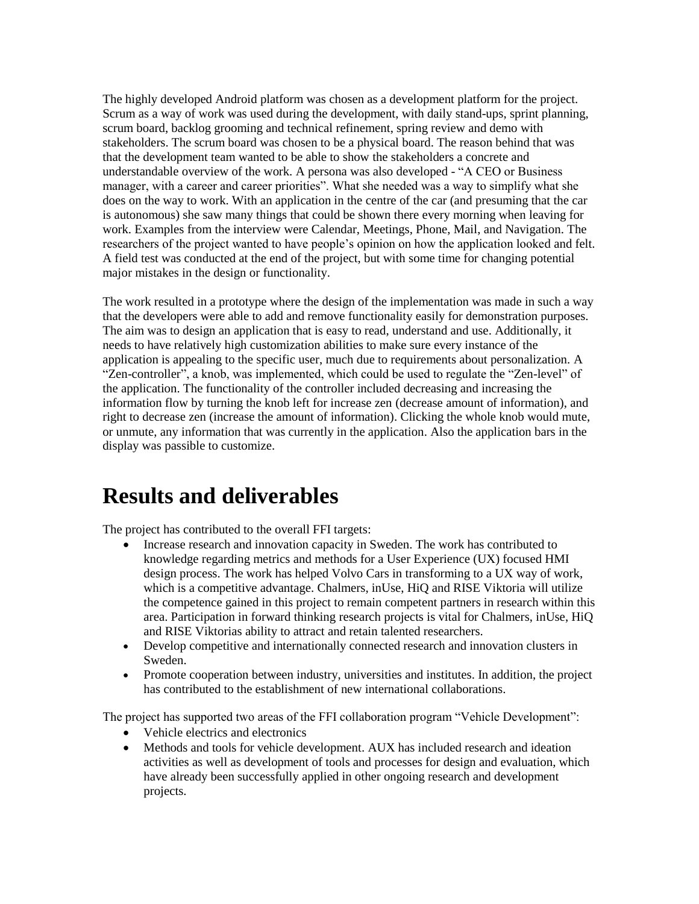The highly developed Android platform was chosen as a development platform for the project. Scrum as a way of work was used during the development, with daily stand-ups, sprint planning, scrum board, backlog grooming and technical refinement, spring review and demo with stakeholders. The scrum board was chosen to be a physical board. The reason behind that was that the development team wanted to be able to show the stakeholders a concrete and understandable overview of the work. A persona was also developed - "A CEO or Business manager, with a career and career priorities". What she needed was a way to simplify what she does on the way to work. With an application in the centre of the car (and presuming that the car is autonomous) she saw many things that could be shown there every morning when leaving for work. Examples from the interview were Calendar, Meetings, Phone, Mail, and Navigation. The researchers of the project wanted to have people's opinion on how the application looked and felt. A field test was conducted at the end of the project, but with some time for changing potential major mistakes in the design or functionality.

The work resulted in a prototype where the design of the implementation was made in such a way that the developers were able to add and remove functionality easily for demonstration purposes. The aim was to design an application that is easy to read, understand and use. Additionally, it needs to have relatively high customization abilities to make sure every instance of the application is appealing to the specific user, much due to requirements about personalization. A "Zen-controller", a knob, was implemented, which could be used to regulate the "Zen-level" of the application. The functionality of the controller included decreasing and increasing the information flow by turning the knob left for increase zen (decrease amount of information), and right to decrease zen (increase the amount of information). Clicking the whole knob would mute, or unmute, any information that was currently in the application. Also the application bars in the display was passible to customize.

### <span id="page-9-0"></span>**Results and deliverables**

The project has contributed to the overall FFI targets:

- Increase research and innovation capacity in Sweden. The work has contributed to knowledge regarding metrics and methods for a User Experience (UX) focused HMI design process. The work has helped Volvo Cars in transforming to a UX way of work, which is a competitive advantage. Chalmers, inUse, HiQ and RISE Viktoria will utilize the competence gained in this project to remain competent partners in research within this area. Participation in forward thinking research projects is vital for Chalmers, inUse, HiQ and RISE Viktorias ability to attract and retain talented researchers.
- Develop competitive and internationally connected research and innovation clusters in Sweden.
- Promote cooperation between industry, universities and institutes. In addition, the project has contributed to the establishment of new international collaborations.

The project has supported two areas of the FFI collaboration program "Vehicle Development":

- Vehicle electrics and electronics
- Methods and tools for vehicle development. AUX has included research and ideation activities as well as development of tools and processes for design and evaluation, which have already been successfully applied in other ongoing research and development projects.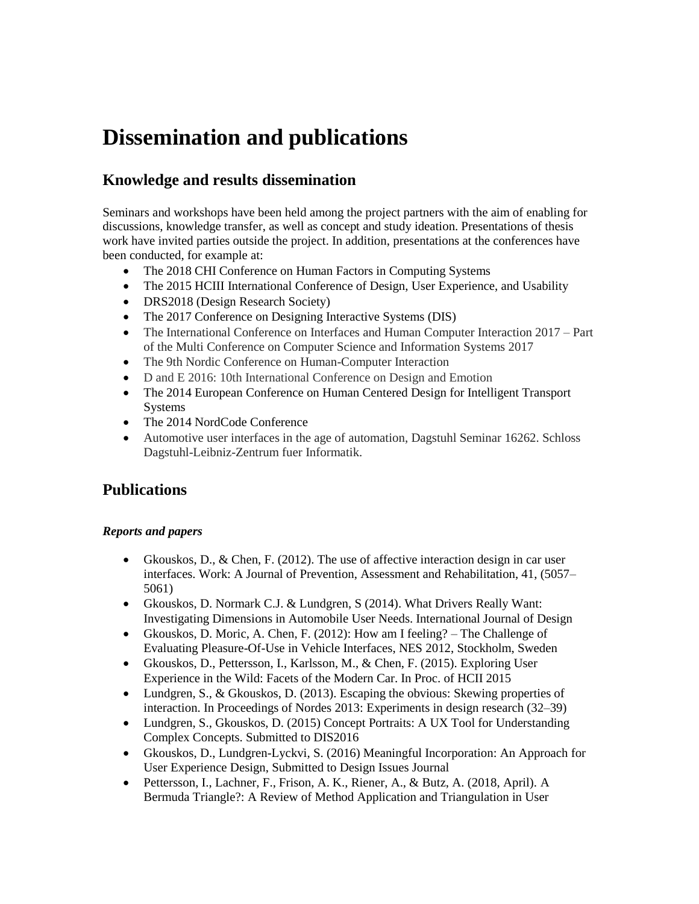# <span id="page-10-0"></span>**Dissemination and publications**

### <span id="page-10-1"></span>**Knowledge and results dissemination**

Seminars and workshops have been held among the project partners with the aim of enabling for discussions, knowledge transfer, as well as concept and study ideation. Presentations of thesis work have invited parties outside the project. In addition, presentations at the conferences have been conducted, for example at:

- The 2018 CHI Conference on Human Factors in Computing Systems
- The 2015 HCIII International Conference of Design, User Experience, and Usability
- DRS2018 (Design Research Society)
- The 2017 Conference on Designing Interactive Systems (DIS)
- The International Conference on Interfaces and Human Computer Interaction 2017 Part of the Multi Conference on Computer Science and Information Systems 2017
- The 9th Nordic Conference on Human-Computer Interaction
- D and E 2016: 10th International Conference on Design and Emotion
- The 2014 European Conference on Human Centered Design for Intelligent Transport Systems
- The 2014 NordCode Conference
- Automotive user interfaces in the age of automation, Dagstuhl Seminar 16262. Schloss Dagstuhl-Leibniz-Zentrum fuer Informatik.

### <span id="page-10-2"></span>**Publications**

#### *Reports and papers*

- Gkouskos, D., & Chen, F. (2012). The use of affective interaction design in car user interfaces. Work: A Journal of Prevention, Assessment and Rehabilitation, 41, (5057– 5061)
- Gkouskos, D. Normark C.J. & Lundgren, S (2014). What Drivers Really Want: Investigating Dimensions in Automobile User Needs. International Journal of Design
- Gkouskos, D. Moric, A. Chen, F. (2012): How am I feeling? The Challenge of Evaluating Pleasure-Of-Use in Vehicle Interfaces, NES 2012, Stockholm, Sweden
- Gkouskos, D., Pettersson, I., Karlsson, M., & Chen, F. (2015). Exploring User Experience in the Wild: Facets of the Modern Car. In Proc. of HCII 2015
- Lundgren, S., & Gkouskos, D. (2013). Escaping the obvious: Skewing properties of interaction. In Proceedings of Nordes 2013: Experiments in design research (32–39)
- Lundgren, S., Gkouskos, D. (2015) Concept Portraits: A UX Tool for Understanding Complex Concepts. Submitted to DIS2016
- Gkouskos, D., Lundgren-Lyckvi, S. (2016) Meaningful Incorporation: An Approach for User Experience Design, Submitted to Design Issues Journal
- Pettersson, I., Lachner, F., Frison, A. K., Riener, A., & Butz, A. (2018, April). A Bermuda Triangle?: A Review of Method Application and Triangulation in User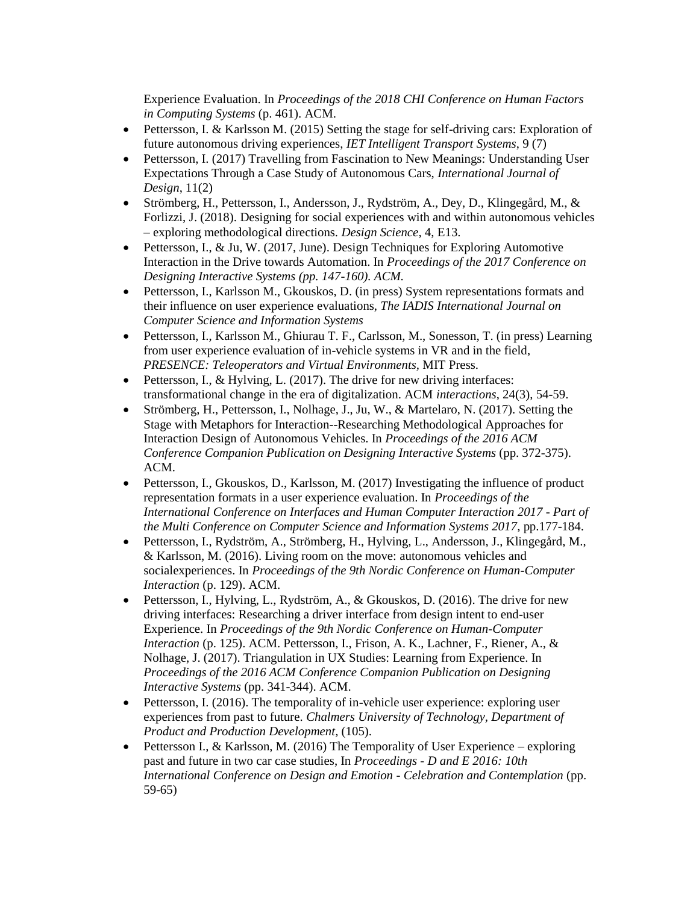Experience Evaluation. In *Proceedings of the 2018 CHI Conference on Human Factors in Computing Systems* (p. 461). ACM.

- Pettersson, I. & Karlsson M. (2015) Setting the stage for self-driving cars: Exploration of future autonomous driving experiences, *IET Intelligent Transport Systems*, 9 (7)
- Pettersson, I. (2017) Travelling from Fascination to New Meanings: Understanding User Expectations Through a Case Study of Autonomous Cars, *International Journal of Design*, 11(2)
- Strömberg, H., Pettersson, I., Andersson, J., Rydström, A., Dey, D., Klingegård, M., & Forlizzi, J. (2018). Designing for social experiences with and within autonomous vehicles – exploring methodological directions. *Design Science,* 4, E13.
- Pettersson, I., & Ju, W. (2017, June). Design Techniques for Exploring Automotive Interaction in the Drive towards Automation. In *Proceedings of the 2017 Conference on Designing Interactive Systems (pp. 147-160). ACM.*
- Pettersson, I., Karlsson M., Gkouskos, D. (in press) System representations formats and their influence on user experience evaluations, *The IADIS International Journal on Computer Science and Information Systems*
- Pettersson, I., Karlsson M., Ghiurau T. F., Carlsson, M., Sonesson, T. (in press) Learning from user experience evaluation of in-vehicle systems in VR and in the field, *PRESENCE: Teleoperators and Virtual Environments,* MIT Press.
- Pettersson, I., & Hylving, L.  $(2017)$ . The drive for new driving interfaces: transformational change in the era of digitalization. ACM *interactions*, 24(3), 54-59.
- Strömberg, H., Pettersson, I., Nolhage, J., Ju, W., & Martelaro, N. (2017). Setting the Stage with Metaphors for Interaction--Researching Methodological Approaches for Interaction Design of Autonomous Vehicles. In *Proceedings of the 2016 ACM Conference Companion Publication on Designing Interactive Systems* (pp. 372-375). ACM.
- Pettersson, I., Gkouskos, D., Karlsson, M. (2017) Investigating the influence of product representation formats in a user experience evaluation. In *Proceedings of the International Conference on Interfaces and Human Computer Interaction 2017 - Part of the Multi Conference on Computer Science and Information Systems 2017*, pp.177-184.
- Pettersson, I., Rydström, A., Strömberg, H., Hylving, L., Andersson, J., Klingegård, M., & Karlsson, M. (2016). Living room on the move: autonomous vehicles and socialexperiences. In *Proceedings of the 9th Nordic Conference on Human-Computer Interaction* (p. 129). ACM.
- Pettersson, I., Hylving, L., Rydström, A., & Gkouskos, D. (2016). The drive for new driving interfaces: Researching a driver interface from design intent to end-user Experience. In *Proceedings of the 9th Nordic Conference on Human-Computer Interaction* (p. 125). ACM. Pettersson, I., Frison, A. K., Lachner, F., Riener, A., & Nolhage, J. (2017). Triangulation in UX Studies: Learning from Experience. In *Proceedings of the 2016 ACM Conference Companion Publication on Designing Interactive Systems* (pp. 341-344). ACM.
- Pettersson, I. (2016). The temporality of in-vehicle user experience: exploring user experiences from past to future. *Chalmers University of Technology, Department of Product and Production Development,* (105).
- Pettersson I., & Karlsson, M. (2016) The Temporality of User Experience exploring past and future in two car case studies, In *Proceedings - D and E 2016: 10th International Conference on Design and Emotion - Celebration and Contemplation* (pp. 59-65)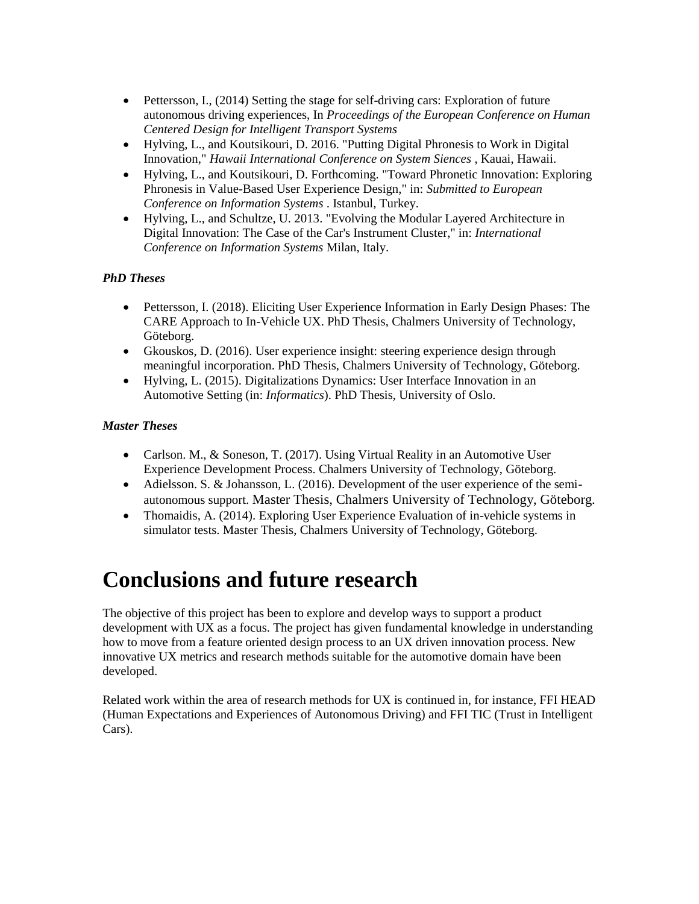- Pettersson, I., (2014) Setting the stage for self-driving cars: Exploration of future autonomous driving experiences, In *Proceedings of the European Conference on Human Centered Design for Intelligent Transport Systems*
- Hylving, L., and Koutsikouri, D. 2016. "Putting Digital Phronesis to Work in Digital Innovation," *Hawaii International Conference on System Siences* , Kauai, Hawaii.
- Hylving, L., and Koutsikouri, D. Forthcoming. "Toward Phronetic Innovation: Exploring Phronesis in Value-Based User Experience Design," in: *Submitted to European Conference on Information Systems* . Istanbul, Turkey.
- Hylving, L., and Schultze, U. 2013. "Evolving the Modular Layered Architecture in Digital Innovation: The Case of the Car's Instrument Cluster," in: *International Conference on Information Systems* Milan, Italy.

#### *PhD Theses*

- Pettersson, I. (2018). Eliciting User Experience Information in Early Design Phases: The CARE Approach to In-Vehicle UX. PhD Thesis, Chalmers University of Technology, Göteborg.
- Gkouskos, D. (2016). User experience insight: steering experience design through meaningful incorporation. PhD Thesis, Chalmers University of Technology, Göteborg.
- Hylving, L. (2015). Digitalizations Dynamics: User Interface Innovation in an Automotive Setting (in: *Informatics*). PhD Thesis, University of Oslo.

#### *Master Theses*

- Carlson. M., & Soneson, T. (2017). Using Virtual Reality in an Automotive User Experience Development Process. Chalmers University of Technology, Göteborg.
- Adielsson. S. & Johansson, L. (2016). Development of the user experience of the semiautonomous support. Master Thesis, Chalmers University of Technology, Göteborg.
- Thomaidis, A. (2014). Exploring User Experience Evaluation of in-vehicle systems in simulator tests. Master Thesis, Chalmers University of Technology, Göteborg.

# <span id="page-12-0"></span>**Conclusions and future research**

The objective of this project has been to explore and develop ways to support a product development with UX as a focus. The project has given fundamental knowledge in understanding how to move from a feature oriented design process to an UX driven innovation process. New innovative UX metrics and research methods suitable for the automotive domain have been developed.

Related work within the area of research methods for UX is continued in, for instance, FFI HEAD (Human Expectations and Experiences of Autonomous Driving) and FFI TIC (Trust in Intelligent Cars).